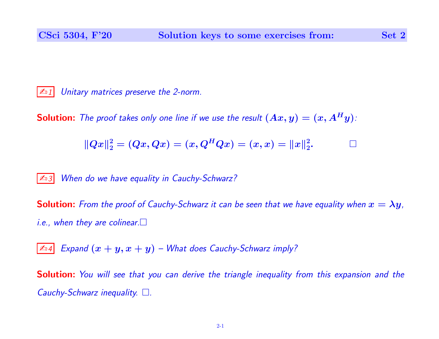$\mathbb{Z}$  1 Unitary matrices preserve the 2-norm.

**Solution:** The proof takes only one line if we use the result  $(Ax, y) = (x, A^H y)$ :

$$
||Qx||_2^2 = (Qx, Qx) = (x, Q^H Qx) = (x, x) = ||x||_2^2.
$$

**Example 3** When do we have equality in Cauchy-Schwarz?

**Solution:** From the proof of Cauchy-Schwarz it can be seen that we have equality when  $x = \lambda y$ , *i.e.*, when they are colinear.  $\square$ 

 $\boxed{\mathbb{Z}_04}$  Expand  $(x + y, x + y)$  – What does Cauchy-Schwarz imply?

Solution: You will see that you can derive the triangle inequality from this expansion and the Cauchy-Schwarz inequality.  $\square$ .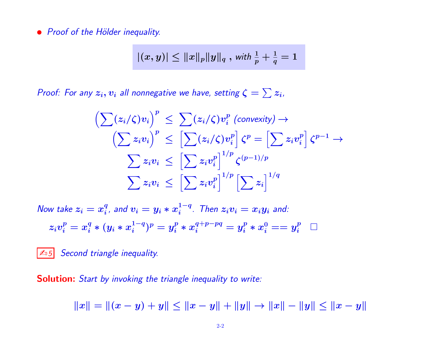• Proof of the Hölder inequality.

$$
|(x,y)|\leq \|x\|_p\|y\|_q\; ,\, \textit{with}\; \tfrac{1}{p}+\tfrac{1}{q}=1
$$

Proof: For any  $z_i, v_i$  all nonnegative we have, setting  $\zeta = \sum z_i$ ,

$$
\left(\sum (z_i/\zeta)v_i\right)^p \leq \sum (z_i/\zeta)v_i^p \text{ (convexity)} \rightarrow \\
\left(\sum z_i v_i\right)^p \leq \left[\sum (z_i/\zeta)v_i^p\right] \zeta^p = \left[\sum z_i v_i^p\right] \zeta^{p-1} \rightarrow \\
\sum z_i v_i \leq \left[\sum z_i v_i^p\right]^{1/p} \zeta^{(p-1)/p} \\
\sum z_i v_i \leq \left[\sum z_i v_i^p\right]^{1/p} \left[\sum z_i\right]^{1/q}
$$

Now take  $z_i = x_i^q$  $_i^q$ , and  $v_i = y_i * x_i^{1-q}$  $i^{1-q}$ . Then  $z_i v_i = x_i y_i$  and:  $z_i v_i^p = x_i^q * (y_i * x_i^{1-q}$  $i^{1-q})^p=y_i^p*x_i^{q+p-pq}=y_i^p*x_i^0==y_i^p \;\;\;\Box$ 

 $|\mathcal{L}_0 5|$  Second triangle inequality.

Solution: Start by invoking the triangle inequality to write:

 $||x|| = ||(x - y) + y|| \le ||x - y|| + ||y|| \rightarrow ||x|| - ||y|| \le ||x - y||$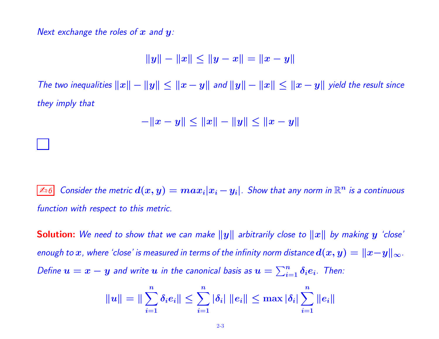Next exchange the roles of  $x$  and  $y$ :

$$
||y|| - ||x|| \le ||y - x|| = ||x - y||
$$

The two inequalities  $\|x\| - \|y\| \leq \|x - y\|$  and  $\|y\| - \|x\| \leq \|x - y\|$  yield the result since they imply that

$$
-\|x-y\|\leq \|x\|-\|y\|\leq \|x-y\|
$$

≰ಾ $6$  Consider the metric  $d(x,y)=max_{i}|x_{i}-y_{i}|$ . Show that any norm in  $\mathbb{R}^{n}$  is a continuous function with respect to this metric.

**Solution:** We need to show that we can make  $||y||$  arbitrarily close to  $||x||$  by making  $y$  'close' enough to  $x$ , where 'close' is measured in terms of the infinity norm distance  $d(x,y) = \|x\!-\!y\|_\infty.$ Define  $u=x-y$  and write  $u$  in the canonical basis as  $u=\sum_{i=1}^n \delta_i e_i$ . Then:

$$
\|u\| = \|\sum_{i=1}^n \delta_i e_i\| \le \sum_{i=1}^n |\delta_i| \|e_i\| \le \max |\delta_i| \sum_{i=1}^n \|e_i\|
$$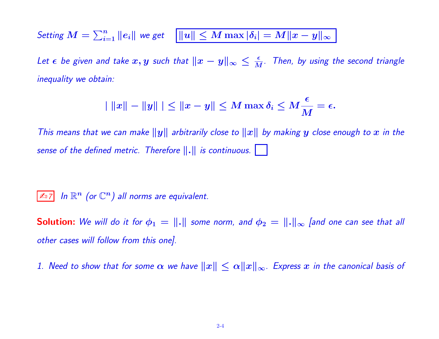Setting  $M = \sum_{i=1}^n \|e_i\|$  we get  $\boxed{\|u\| \leq M \max |\delta_i| = M \|x - y\|_\infty}$ 

Let  $\epsilon$  be given and take  $x,y$  such that  $\|x-y\|_\infty \leq \frac{\epsilon}{M}$ . Then, by using the second triangle inequality we obtain:

$$
|\|x\|-\|y\| \le \|x-y\| \le M \max \delta_i \le M \frac{\epsilon}{M} = \epsilon.
$$

This means that we can make  $\|y\|$  arbitrarily close to  $\|x\|$  by making  $y$  close enough to  $x$  in the sense of the defined metric. Therefore  $\|.\|$  is continuous.  $\Box$ 

 $\boxed{\mathbb{Z}_D$ 7 In  $\mathbb{R}^n$  (or  $\mathbb{C}^n$ ) all norms are equivalent.

**Solution:** We will do it for  $\phi_1 = \|\cdot\|$  some norm, and  $\phi_2 = \|\cdot\|_{\infty}$  [and one can see that all other cases will follow from this one].

1. Need to show that for some  $\alpha$  we have  $\|x\|\leq \alpha \|x\|_\infty$ . Express  $x$  in the canonical basis of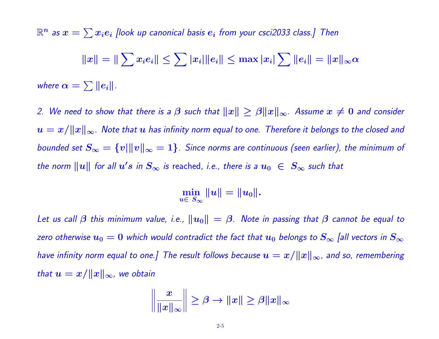$\mathbb{R}^n$  as  $x=\sum x_i e_i$  [look up canonical basis  $e_i$  from your csci2033 class.] Then  $\|x\| = \|\sum x_i e_i\| \leq \sum |x_i| \|e_i\| \leq \max |x_i| \sum \|e_i\| = \|x\|_\infty \alpha$ where  $\alpha = \sum \|e_i\|.$ 

2. We need to show that there is a  $\beta$  such that  $\|x\|\geq \beta \|x\|_{\infty}$ . Assume  $x\neq 0$  and consider  $u=x/\|x\|_{\infty}$ . Note that  $u$  has infinity norm equal to one. Therefore it belongs to the closed and bounded set  $S_\infty = \{v|\|v\|_\infty = 1\}$ . Since norms are continuous (seen earlier), the minimum of the norm  $\|u\|$  for all  $u's$  in  $S_\infty$  is reached, i.e., there is a  $u_0\;\in\;S_\infty$  such that

> min  $u\in\,S_{\infty}$  $\|u\| = \|u_0\|.$

Let us call  $\beta$  this minimum value, i.e.,  $\|u_0\| = \beta$ . Note in passing that  $\beta$  cannot be equal to zero otherwise  $u_0=0$  which would contradict the fact that  $u_0$  belongs to  $S_\infty$  [all vectors in  $S_\infty$ have infinity norm equal to one.] The result follows because  $u=x/\|x\|_{\infty}$ , and so, remembering that  $u = x/\Vert x \Vert_{\infty}$ , we obtain

$$
\left\|\frac{x}{\|x\|_{\infty}}\right\| \geq \beta \to \|x\| \geq \beta \|x\|_{\infty}
$$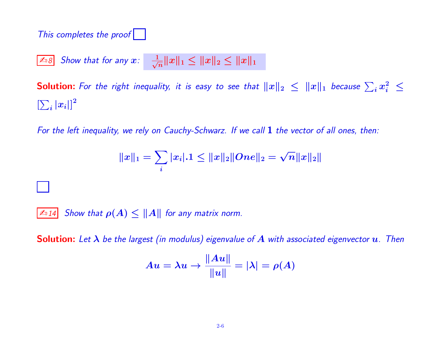This completes the proof

 $\boxed{\mathbb{Z}_0 8}$  Show that for any  $\bm{x}$ :  $\frac{1}{\sqrt{2}}$  $\frac{1}{\sqrt{n}} \|x\|_1 \leq \|x\|_2 \leq \|x\|_1$ 

**Solution:** For the right inequality, it is easy to see that  $\|x\|_2 \leq \|x\|_1$  because  $\sum_i x_i^2 \leq$  $\left[\sum_i |x_i|\right]^2$ 

For the left inequality, we rely on Cauchy-Schwarz. If we call 1 the vector of all ones, then:

$$
\|x\|_1 = \sum_i |x_i|.1 \leq \|x\|_2 \|One\|_2 = \sqrt{n} \|x\|_2 \|
$$

 $\mathbb{Z}$  14 Show that  $\rho(A) \leq ||A||$  for any matrix norm.

**Solution:** Let  $\lambda$  be the largest (in modulus) eigenvalue of  $A$  with associated eigenvector  $u$ . Then

$$
Au=\lambda u\rightarrow\frac{\|Au\|}{\|u\|}=|\lambda|=\rho(A)
$$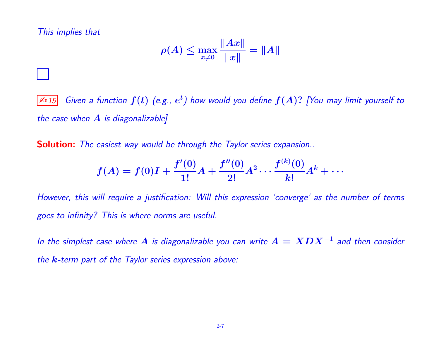This implies that

$$
\rho(A)\leq \max_{x\neq 0}\frac{\|Ax\|}{\|x\|}=\|A\|
$$

 $\overline{\mathbb{Z}_1 15}$  Given a function  $f(t)$  (e.g.,  $e^t$ ) how would you define  $f(A)$ ? [You may limit yourself to the case when  $A$  is diagonalizable]

**Solution:** The easiest way would be through the Taylor series expansion..

$$
f(A)=f(0)I+\frac{f'(0)}{1!}A+\frac{f''(0)}{2!}A^2\cdots\frac{f^{(k)}(0)}{k!}A^k+\cdots
$$

However, this will require a justification: Will this expression 'converge' as the number of terms goes to infinity? This is where norms are useful.

In the simplest case where  $A$  is diagonalizable you can write  $A = XDX^{-1}$  and then consider the  $k$ -term part of the Taylor series expression above: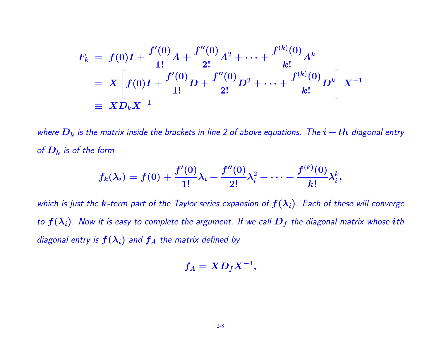$$
F_k = f(0)I + \frac{f'(0)}{1!}A + \frac{f''(0)}{2!}A^2 + \dots + \frac{f^{(k)}(0)}{k!}A^k
$$
  
=  $X \left[ f(0)I + \frac{f'(0)}{1!}D + \frac{f''(0)}{2!}D^2 + \dots + \frac{f^{(k)}(0)}{k!}D^k \right] X^{-1}$   
\equiv  $X D_k X^{-1}$ 

where  $D_k$  is the matrix inside the brackets in line 2 of above equations. The  $i-th$  diagonal entry of  $D_k$  is of the form

$$
f_k(\lambda_i) = f(0) + \frac{f'(0)}{1!} \lambda_i + \frac{f''(0)}{2!} \lambda_i^2 + \cdots + \frac{f^{(k)}(0)}{k!} \lambda_i^k,
$$

which is just the  $k$ -term part of the Taylor series expansion of  $f(\lambda_i)$ . Each of these will converge to  $f(\lambda_i)$ . Now it is easy to complete the argument. If we call  $D_f$  the diagonal matrix whose ith diagonal entry is  $f(\lambda_i)$  and  $f_A$  the matrix defined by

$$
f_A = X D_f X^{-1},
$$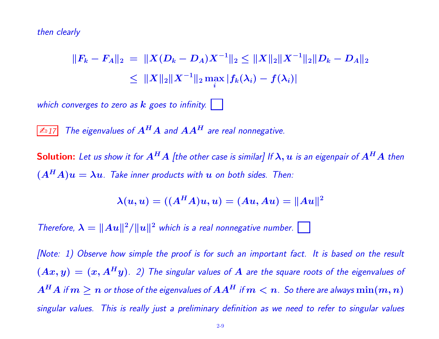then clearly

$$
||F_k - F_A||_2 = ||X(D_k - D_A)X^{-1}||_2 \le ||X||_2||X^{-1}||_2||D_k - D_A||_2
$$
  

$$
\le ||X||_2||X^{-1}||_2 \max_i |f_k(\lambda_i) - f(\lambda_i)|
$$

which converges to zero as  $k$  goes to infinity.

 $\boxed{\mathbb{Z}_1}{7}$  The eigenvalues of  $A^HA$  and  $AA^H$  are real nonnegative.

**Solution:** Let us show it for  $A^H A$  [the other case is similar] If  $\lambda$ ,  $u$  is an eigenpair of  $A^H A$  then  $(A<sup>H</sup>A)u = \lambda u$ . Take inner products with u on both sides. Then:

$$
\lambda(u, u) = ((A^H A)u, u) = (Au, Au) = ||Au||^2
$$

Therefore,  $\lambda = ||Au||^2/||u||^2$  which is a real nonnegative number.

[Note: 1) Observe how simple the proof is for such an important fact. It is based on the result  $(Ax, y) = (x, A<sup>H</sup>y)$ . 2) The singular values of A are the square roots of the eigenvalues of  $A^{H}A$  if  $m\geq n$  or those of the eigenvalues of  $AA^{H}$  if  $m < n$ . So there are always  $\min(m,n)$ singular values. This is really just a preliminary definition as we need to refer to singular values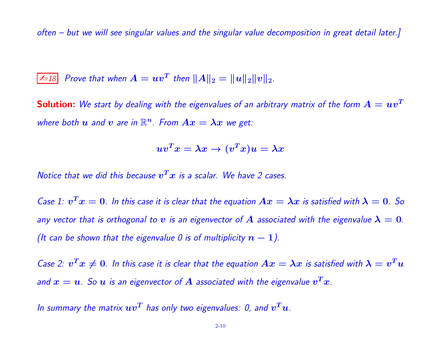often – but we will see singular values and the singular value decomposition in great detail later.]

$$
\boxed{\mathbb{A}_{18}} \quad Prove that when A = uv^T then ||A||_2 = ||u||_2 ||v||_2.
$$

**Solution:** We start by dealing with the eigenvalues of an arbitrary matrix of the form  $A = uv^T$ where both  $u$  and  $v$  are in  $\mathbb{R}^n$ . From  $Ax = \lambda x$  we get:

$$
uv^Tx=\lambda x\rightarrow (v^Tx)u=\lambda x
$$

Notice that we did this because  $v^T x$  is a scalar. We have 2 cases.

Case 1:  $v^T x = 0$ . In this case it is clear that the equation  $Ax = \lambda x$  is satisfied with  $\lambda = 0$ . So any vector that is orthogonal to v is an eigenvector of  $A$  associated with the eigenvalue  $\lambda = 0$ . (It can be shown that the eigenvalue 0 is of multiplicity  $n - 1$ ).

Case 2:  $v^Tx\neq 0$ . In this case it is clear that the equation  $Ax=\lambda x$  is satisfied with  $\lambda=v^Tu$ and  $x=u$ . So  $u$  is an eigenvector of  $A$  associated with the eigenvalue  $v^T x$ .

In summary the matrix  $\bm{u}\bm{v^T}$  has only two eigenvalues: 0, and  $\bm{v^T}\bm{u}$ .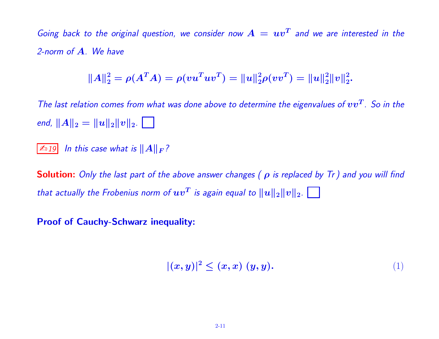Going back to the original question, we consider now  $A = uv^T$  and we are interested in the 2-norm of A. We have

$$
||A||_2^2 = \rho(A^T A) = \rho(vu^T u v^T) = ||u||_2^2 \rho(vv^T) = ||u||_2^2 ||v||_2^2.
$$

The last relation comes from what was done above to determine the eigenvalues of  $vv^T$ . So in the end,  $||A||_2 = ||u||_2||v||_2$ .

 $\mathbb{Z}$  19 In this case what is  $||A||_F$ ?

**Solution:** Only the last part of the above answer changes ( $\rho$  is replaced by Tr) and you will find that actually the Frobenius norm of  $\bm{u}\bm{v}^T$  is again equal to  $\|\bm{u}\|_2\|\bm{v}\|_2.$ 

## Proof of Cauchy-Schwarz inequality:

$$
|(x,y)|^2 \le (x,x)(y,y). \tag{1}
$$